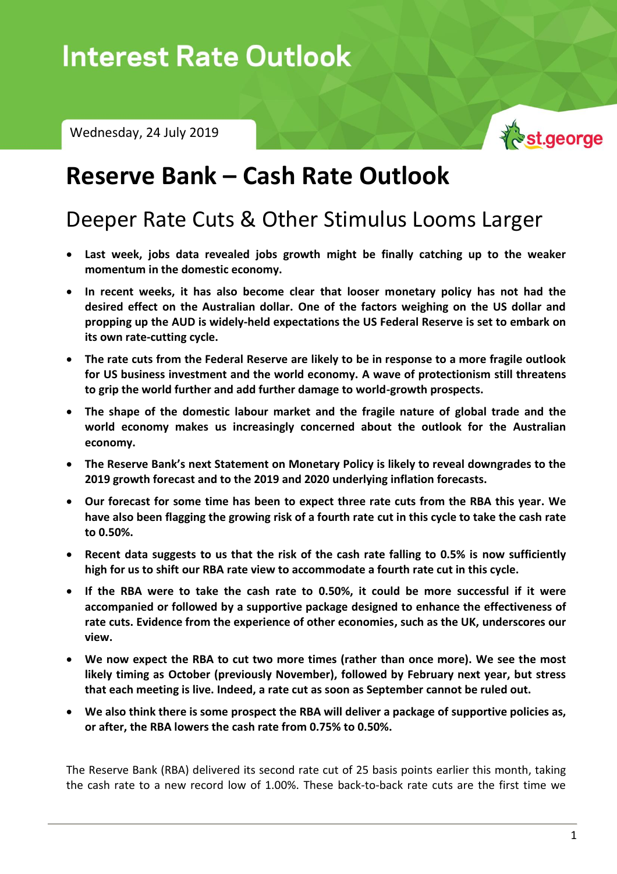# $\blacksquare$ Interest Rate Outlook – Wednesday, 24 July 2019

Wednesday, 24 July 2019



## **Reserve Bank – Cash Rate Outlook**

## Deeper Rate Cuts & Other Stimulus Looms Larger

- **Last week, jobs data revealed jobs growth might be finally catching up to the weaker momentum in the domestic economy.**
- **In recent weeks, it has also become clear that looser monetary policy has not had the desired effect on the Australian dollar. One of the factors weighing on the US dollar and propping up the AUD is widely-held expectations the US Federal Reserve is set to embark on its own rate-cutting cycle.**
- **The rate cuts from the Federal Reserve are likely to be in response to a more fragile outlook for US business investment and the world economy. A wave of protectionism still threatens to grip the world further and add further damage to world-growth prospects.**
- **The shape of the domestic labour market and the fragile nature of global trade and the world economy makes us increasingly concerned about the outlook for the Australian economy.**
- **The Reserve Bank's next Statement on Monetary Policy is likely to reveal downgrades to the 2019 growth forecast and to the 2019 and 2020 underlying inflation forecasts.**
- **Our forecast for some time has been to expect three rate cuts from the RBA this year. We have also been flagging the growing risk of a fourth rate cut in this cycle to take the cash rate to 0.50%.**
- **Recent data suggests to us that the risk of the cash rate falling to 0.5% is now sufficiently high for us to shift our RBA rate view to accommodate a fourth rate cut in this cycle.**
- **If the RBA were to take the cash rate to 0.50%, it could be more successful if it were accompanied or followed by a supportive package designed to enhance the effectiveness of rate cuts. Evidence from the experience of other economies, such as the UK, underscores our view.**
- **We now expect the RBA to cut two more times (rather than once more). We see the most likely timing as October (previously November), followed by February next year, but stress that each meeting is live. Indeed, a rate cut as soon as September cannot be ruled out.**
- **We also think there is some prospect the RBA will deliver a package of supportive policies as, or after, the RBA lowers the cash rate from 0.75% to 0.50%.**

The Reserve Bank (RBA) delivered its second rate cut of 25 basis points earlier this month, taking the cash rate to a new record low of 1.00%. These back-to-back rate cuts are the first time we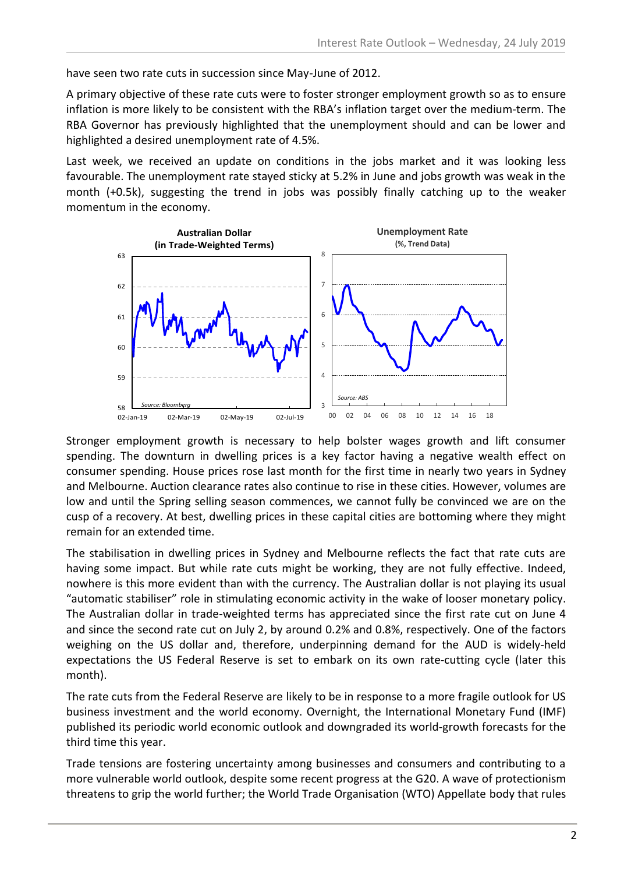have seen two rate cuts in succession since May-June of 2012.

A primary objective of these rate cuts were to foster stronger employment growth so as to ensure inflation is more likely to be consistent with the RBA's inflation target over the medium-term. The RBA Governor has previously highlighted that the unemployment should and can be lower and highlighted a desired unemployment rate of 4.5%.

Last week, we received an update on conditions in the jobs market and it was looking less favourable. The unemployment rate stayed sticky at 5.2% in June and jobs growth was weak in the month (+0.5k), suggesting the trend in jobs was possibly finally catching up to the weaker momentum in the economy.



Stronger employment growth is necessary to help bolster wages growth and lift consumer spending. The downturn in dwelling prices is a key factor having a negative wealth effect on consumer spending. House prices rose last month for the first time in nearly two years in Sydney and Melbourne. Auction clearance rates also continue to rise in these cities. However, volumes are low and until the Spring selling season commences, we cannot fully be convinced we are on the cusp of a recovery. At best, dwelling prices in these capital cities are bottoming where they might remain for an extended time.

The stabilisation in dwelling prices in Sydney and Melbourne reflects the fact that rate cuts are having some impact. But while rate cuts might be working, they are not fully effective. Indeed, nowhere is this more evident than with the currency. The Australian dollar is not playing its usual "automatic stabiliser" role in stimulating economic activity in the wake of looser monetary policy. The Australian dollar in trade-weighted terms has appreciated since the first rate cut on June 4 and since the second rate cut on July 2, by around 0.2% and 0.8%, respectively. One of the factors weighing on the US dollar and, therefore, underpinning demand for the AUD is widely-held expectations the US Federal Reserve is set to embark on its own rate-cutting cycle (later this month).

The rate cuts from the Federal Reserve are likely to be in response to a more fragile outlook for US business investment and the world economy. Overnight, the International Monetary Fund (IMF) published its periodic world economic outlook and downgraded its world-growth forecasts for the third time this year.

Trade tensions are fostering uncertainty among businesses and consumers and contributing to a more vulnerable world outlook, despite some recent progress at the G20. A wave of protectionism threatens to grip the world further; the World Trade Organisation (WTO) Appellate body that rules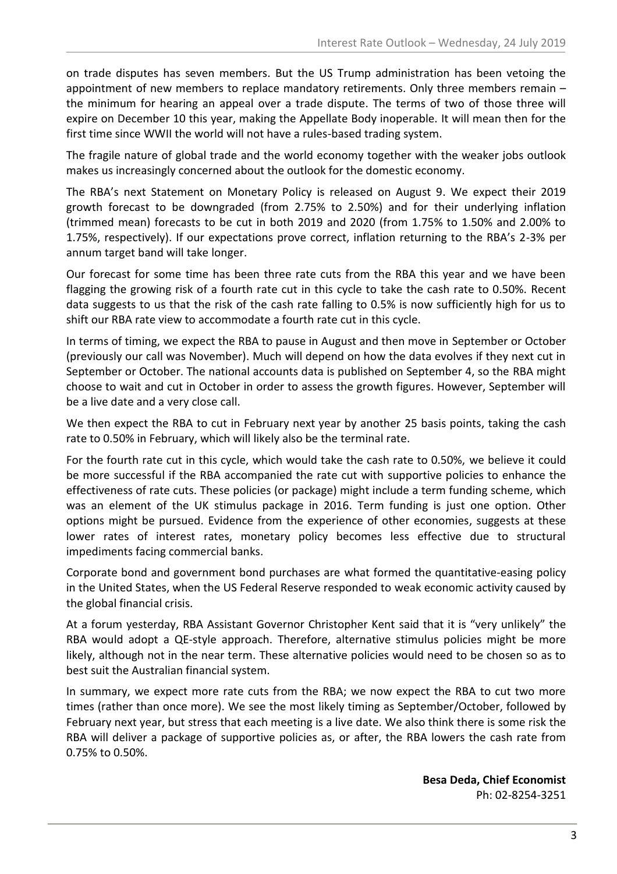on trade disputes has seven members. But the US Trump administration has been vetoing the appointment of new members to replace mandatory retirements. Only three members remain – the minimum for hearing an appeal over a trade dispute. The terms of two of those three will expire on December 10 this year, making the Appellate Body inoperable. It will mean then for the first time since WWII the world will not have a rules-based trading system.

The fragile nature of global trade and the world economy together with the weaker jobs outlook makes us increasingly concerned about the outlook for the domestic economy.

The RBA's next Statement on Monetary Policy is released on August 9. We expect their 2019 growth forecast to be downgraded (from 2.75% to 2.50%) and for their underlying inflation (trimmed mean) forecasts to be cut in both 2019 and 2020 (from 1.75% to 1.50% and 2.00% to 1.75%, respectively). If our expectations prove correct, inflation returning to the RBA's 2-3% per annum target band will take longer.

Our forecast for some time has been three rate cuts from the RBA this year and we have been flagging the growing risk of a fourth rate cut in this cycle to take the cash rate to 0.50%. Recent data suggests to us that the risk of the cash rate falling to 0.5% is now sufficiently high for us to shift our RBA rate view to accommodate a fourth rate cut in this cycle.

In terms of timing, we expect the RBA to pause in August and then move in September or October (previously our call was November). Much will depend on how the data evolves if they next cut in September or October. The national accounts data is published on September 4, so the RBA might choose to wait and cut in October in order to assess the growth figures. However, September will be a live date and a very close call.

We then expect the RBA to cut in February next year by another 25 basis points, taking the cash rate to 0.50% in February, which will likely also be the terminal rate.

For the fourth rate cut in this cycle, which would take the cash rate to 0.50%, we believe it could be more successful if the RBA accompanied the rate cut with supportive policies to enhance the effectiveness of rate cuts. These policies (or package) might include a term funding scheme, which was an element of the UK stimulus package in 2016. Term funding is just one option. Other options might be pursued. Evidence from the experience of other economies, suggests at these lower rates of interest rates, monetary policy becomes less effective due to structural impediments facing commercial banks.

Corporate bond and government bond purchases are what formed the quantitative-easing policy in the United States, when the US Federal Reserve responded to weak economic activity caused by the global financial crisis.

At a forum yesterday, RBA Assistant Governor Christopher Kent said that it is "very unlikely" the RBA would adopt a QE-style approach. Therefore, alternative stimulus policies might be more likely, although not in the near term. These alternative policies would need to be chosen so as to best suit the Australian financial system.

In summary, we expect more rate cuts from the RBA; we now expect the RBA to cut two more times (rather than once more). We see the most likely timing as September/October, followed by February next year, but stress that each meeting is a live date. We also think there is some risk the RBA will deliver a package of supportive policies as, or after, the RBA lowers the cash rate from 0.75% to 0.50%.

> **Besa Deda, Chief Economist** Ph: 02-8254-3251